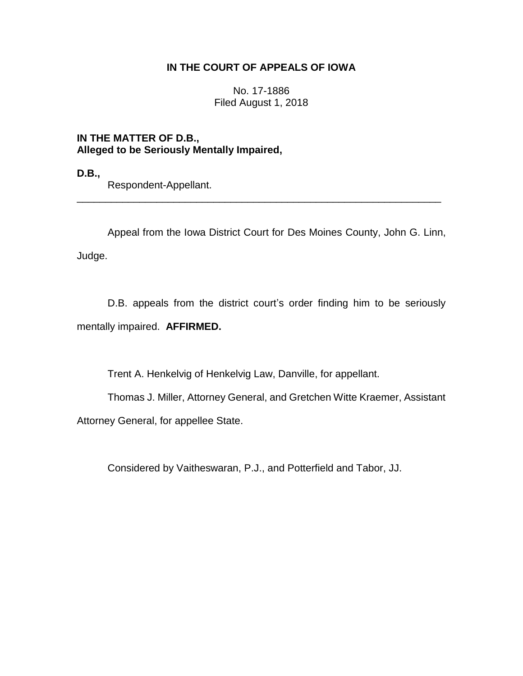## **IN THE COURT OF APPEALS OF IOWA**

No. 17-1886 Filed August 1, 2018

**IN THE MATTER OF D.B., Alleged to be Seriously Mentally Impaired,**

**D.B.,**

Respondent-Appellant.

Appeal from the Iowa District Court for Des Moines County, John G. Linn, Judge.

\_\_\_\_\_\_\_\_\_\_\_\_\_\_\_\_\_\_\_\_\_\_\_\_\_\_\_\_\_\_\_\_\_\_\_\_\_\_\_\_\_\_\_\_\_\_\_\_\_\_\_\_\_\_\_\_\_\_\_\_\_\_\_\_

D.B. appeals from the district court's order finding him to be seriously mentally impaired. **AFFIRMED.**

Trent A. Henkelvig of Henkelvig Law, Danville, for appellant.

Thomas J. Miller, Attorney General, and Gretchen Witte Kraemer, Assistant Attorney General, for appellee State.

Considered by Vaitheswaran, P.J., and Potterfield and Tabor, JJ.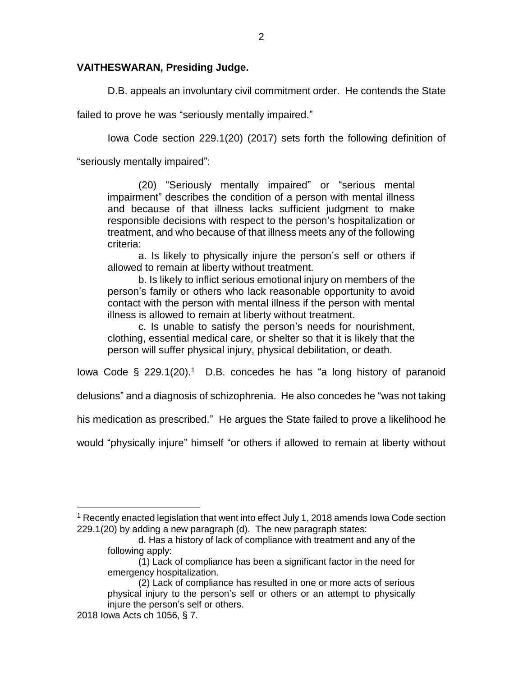## **VAITHESWARAN, Presiding Judge.**

D.B. appeals an involuntary civil commitment order. He contends the State

failed to prove he was "seriously mentally impaired."

Iowa Code section 229.1(20) (2017) sets forth the following definition of

"seriously mentally impaired":

(20) "Seriously mentally impaired" or "serious mental impairment" describes the condition of a person with mental illness and because of that illness lacks sufficient judgment to make responsible decisions with respect to the person's hospitalization or treatment, and who because of that illness meets any of the following criteria:

a. Is likely to physically injure the person's self or others if allowed to remain at liberty without treatment.

b. Is likely to inflict serious emotional injury on members of the person's family or others who lack reasonable opportunity to avoid contact with the person with mental illness if the person with mental illness is allowed to remain at liberty without treatment.

c. Is unable to satisfy the person's needs for nourishment, clothing, essential medical care, or shelter so that it is likely that the person will suffer physical injury, physical debilitation, or death.

lowa Code  $\S$  229.1(20).<sup>1</sup> D.B. concedes he has "a long history of paranoid

delusions" and a diagnosis of schizophrenia. He also concedes he "was not taking

his medication as prescribed." He argues the State failed to prove a likelihood he

would "physically injure" himself "or others if allowed to remain at liberty without

 $\overline{a}$ 

 $1$  Recently enacted legislation that went into effect July 1, 2018 amends Iowa Code section 229.1(20) by adding a new paragraph (d). The new paragraph states:

d. Has a history of lack of compliance with treatment and any of the following apply:

<sup>(1)</sup> Lack of compliance has been a significant factor in the need for emergency hospitalization.

<sup>(2)</sup> Lack of compliance has resulted in one or more acts of serious physical injury to the person's self or others or an attempt to physically injure the person's self or others.

<sup>2018</sup> Iowa Acts ch 1056, § 7.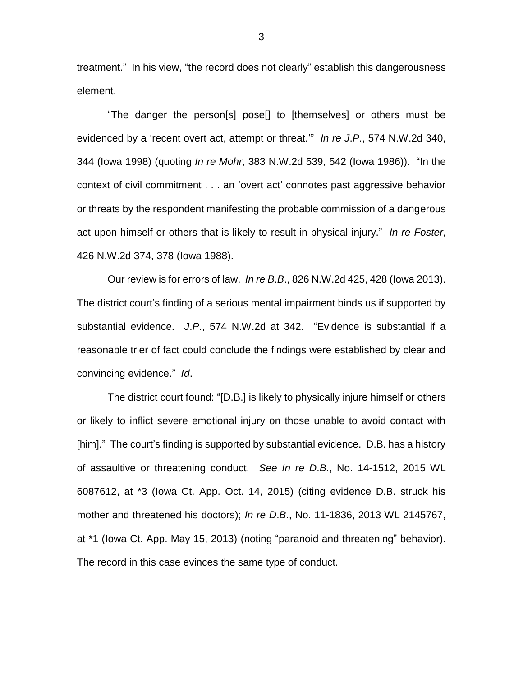treatment." In his view, "the record does not clearly" establish this dangerousness element.

"The danger the person[s] pose[] to [themselves] or others must be evidenced by a 'recent overt act, attempt or threat.'" *In re J*.*P*., 574 N.W.2d 340, 344 (Iowa 1998) (quoting *In re Mohr*, 383 N.W.2d 539, 542 (Iowa 1986)). "In the context of civil commitment . . . an 'overt act' connotes past aggressive behavior or threats by the respondent manifesting the probable commission of a dangerous act upon himself or others that is likely to result in physical injury." *In re Foster*, 426 N.W.2d 374, 378 (Iowa 1988).

Our review is for errors of law. *In re B*.*B*., 826 N.W.2d 425, 428 (Iowa 2013). The district court's finding of a serious mental impairment binds us if supported by substantial evidence. *J*.*P*., 574 N.W.2d at 342. "Evidence is substantial if a reasonable trier of fact could conclude the findings were established by clear and convincing evidence." *Id*.

The district court found: "[D.B.] is likely to physically injure himself or others or likely to inflict severe emotional injury on those unable to avoid contact with [him]." The court's finding is supported by substantial evidence. D.B. has a history of assaultive or threatening conduct. *See In re D*.*B*., No. 14-1512, 2015 WL 6087612, at \*3 (Iowa Ct. App. Oct. 14, 2015) (citing evidence D.B. struck his mother and threatened his doctors); *In re D*.*B*., No. 11-1836, 2013 WL 2145767, at \*1 (Iowa Ct. App. May 15, 2013) (noting "paranoid and threatening" behavior). The record in this case evinces the same type of conduct.

3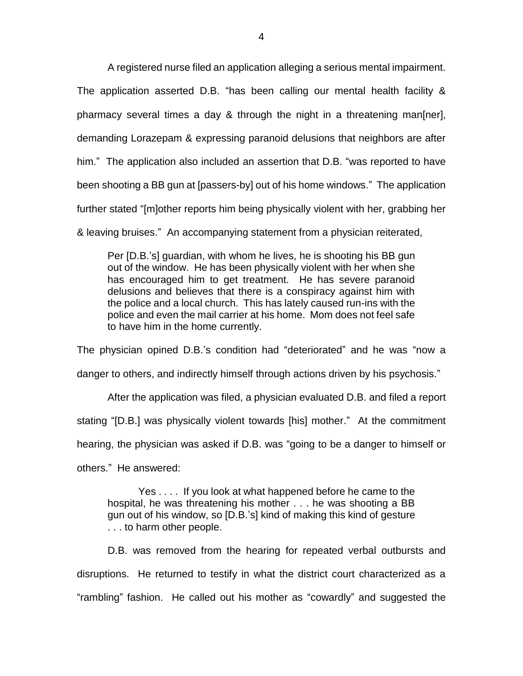A registered nurse filed an application alleging a serious mental impairment.

The application asserted D.B. "has been calling our mental health facility & pharmacy several times a day & through the night in a threatening man[ner], demanding Lorazepam & expressing paranoid delusions that neighbors are after him." The application also included an assertion that D.B. "was reported to have been shooting a BB gun at [passers-by] out of his home windows." The application further stated "[m]other reports him being physically violent with her, grabbing her

& leaving bruises." An accompanying statement from a physician reiterated,

Per [D.B.'s] guardian, with whom he lives, he is shooting his BB gun out of the window. He has been physically violent with her when she has encouraged him to get treatment. He has severe paranoid delusions and believes that there is a conspiracy against him with the police and a local church. This has lately caused run-ins with the police and even the mail carrier at his home. Mom does not feel safe to have him in the home currently.

The physician opined D.B.'s condition had "deteriorated" and he was "now a danger to others, and indirectly himself through actions driven by his psychosis."

After the application was filed, a physician evaluated D.B. and filed a report stating "[D.B.] was physically violent towards [his] mother." At the commitment hearing, the physician was asked if D.B. was "going to be a danger to himself or others." He answered:

Yes . . . . If you look at what happened before he came to the hospital, he was threatening his mother . . . he was shooting a BB gun out of his window, so [D.B.'s] kind of making this kind of gesture . . . to harm other people.

D.B. was removed from the hearing for repeated verbal outbursts and disruptions. He returned to testify in what the district court characterized as a "rambling" fashion. He called out his mother as "cowardly" and suggested the